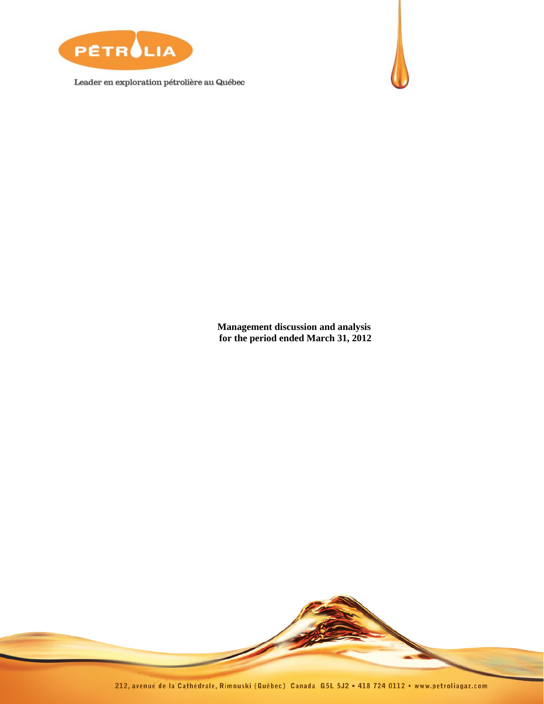

Leader en exploration pétrolière au Québec



**Management discussion and analysis for the period ended March 31, 2012** 

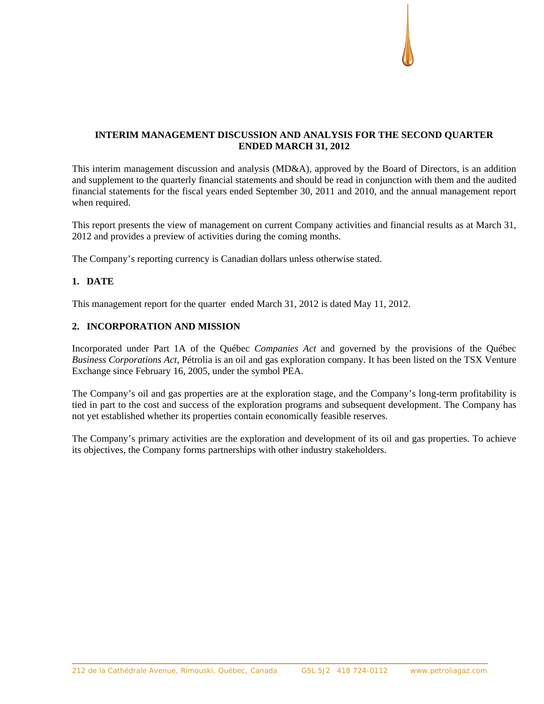# **INTERIM MANAGEMENT DISCUSSION AND ANALYSIS FOR THE SECOND QUARTER ENDED MARCH 31, 2012**

This interim management discussion and analysis (MD&A), approved by the Board of Directors, is an addition and supplement to the quarterly financial statements and should be read in conjunction with them and the audited financial statements for the fiscal years ended September 30, 2011 and 2010, and the annual management report when required.

This report presents the view of management on current Company activities and financial results as at March 31, 2012 and provides a preview of activities during the coming months.

The Company's reporting currency is Canadian dollars unless otherwise stated.

# **1. DATE**

This management report for the quarter ended March 31, 2012 is dated May 11, 2012.

# **2. INCORPORATION AND MISSION**

Incorporated under Part 1A of the Québec *Companies Act* and governed by the provisions of the Québec *Business Corporations Act*, Pétrolia is an oil and gas exploration company. It has been listed on the TSX Venture Exchange since February 16, 2005, under the symbol PEA.

The Company's oil and gas properties are at the exploration stage, and the Company's long-term profitability is tied in part to the cost and success of the exploration programs and subsequent development. The Company has not yet established whether its properties contain economically feasible reserves.

The Company's primary activities are the exploration and development of its oil and gas properties. To achieve its objectives, the Company forms partnerships with other industry stakeholders.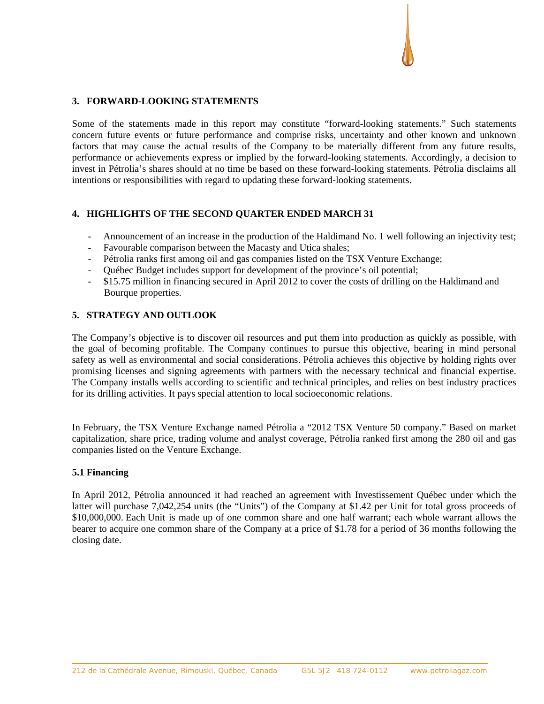# **3. FORWARD-LOOKING STATEMENTS**

Some of the statements made in this report may constitute "forward-looking statements." Such statements concern future events or future performance and comprise risks, uncertainty and other known and unknown factors that may cause the actual results of the Company to be materially different from any future results, performance or achievements express or implied by the forward-looking statements. Accordingly, a decision to invest in Pétrolia's shares should at no time be based on these forward-looking statements. Pétrolia disclaims all intentions or responsibilities with regard to updating these forward-looking statements.

# **4. HIGHLIGHTS OF THE SECOND QUARTER ENDED MARCH 31**

- Announcement of an increase in the production of the Haldimand No. 1 well following an injectivity test;
- Favourable comparison between the Macasty and Utica shales;
- Pétrolia ranks first among oil and gas companies listed on the TSX Venture Exchange;
- Québec Budget includes support for development of the province's oil potential;
- \$15.75 million in financing secured in April 2012 to cover the costs of drilling on the Haldimand and Bourque properties.

# **5. STRATEGY AND OUTLOOK**

The Company's objective is to discover oil resources and put them into production as quickly as possible, with the goal of becoming profitable. The Company continues to pursue this objective, bearing in mind personal safety as well as environmental and social considerations. Pétrolia achieves this objective by holding rights over promising licenses and signing agreements with partners with the necessary technical and financial expertise. The Company installs wells according to scientific and technical principles, and relies on best industry practices for its drilling activities. It pays special attention to local socioeconomic relations.

In February, the TSX Venture Exchange named Pétrolia a "2012 TSX Venture 50 company." Based on market capitalization, share price, trading volume and analyst coverage, Pétrolia ranked first among the 280 oil and gas companies listed on the Venture Exchange.

### **5.1 Financing**

In April 2012, Pétrolia announced it had reached an agreement with Investissement Québec under which the latter will purchase 7,042,254 units (the "Units") of the Company at \$1.42 per Unit for total gross proceeds of \$10,000,000. Each Unit is made up of one common share and one half warrant; each whole warrant allows the bearer to acquire one common share of the Company at a price of \$1.78 for a period of 36 months following the closing date.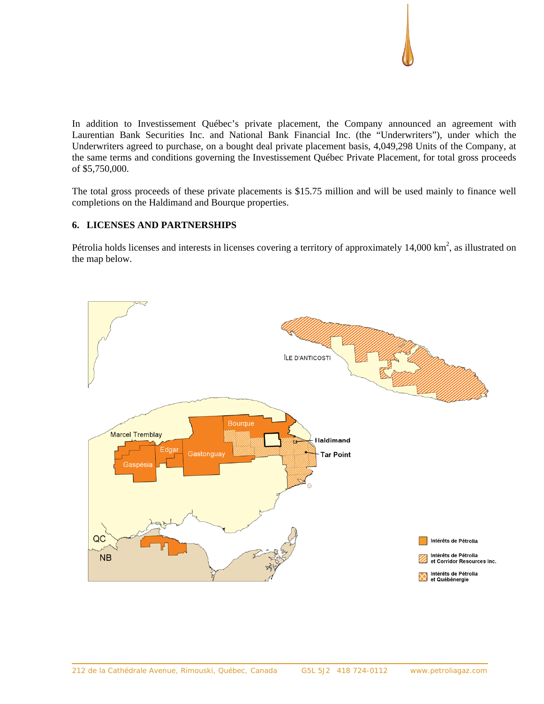

In addition to Investissement Québec's private placement, the Company announced an agreement with Laurentian Bank Securities Inc. and National Bank Financial Inc. (the "Underwriters"), under which the Underwriters agreed to purchase, on a bought deal private placement basis, 4,049,298 Units of the Company, at the same terms and conditions governing the Investissement Québec Private Placement, for total gross proceeds of \$5,750,000.

The total gross proceeds of these private placements is \$15.75 million and will be used mainly to finance well completions on the Haldimand and Bourque properties.

# **6. LICENSES AND PARTNERSHIPS**

Pétrolia holds licenses and interests in licenses covering a territory of approximately  $14,000 \text{ km}^2$ , as illustrated on the map below.

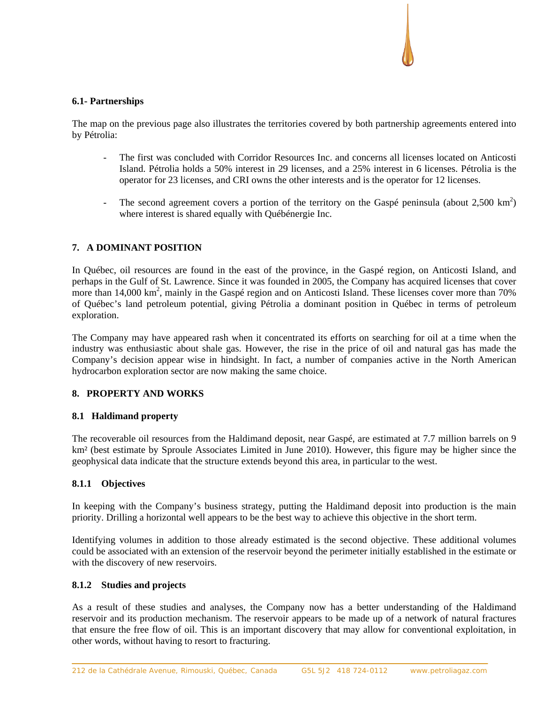## **6.1- Partnerships**

The map on the previous page also illustrates the territories covered by both partnership agreements entered into by Pétrolia:

- The first was concluded with Corridor Resources Inc. and concerns all licenses located on Anticosti Island. Pétrolia holds a 50% interest in 29 licenses, and a 25% interest in 6 licenses. Pétrolia is the operator for 23 licenses, and CRI owns the other interests and is the operator for 12 licenses.
- The second agreement covers a portion of the territory on the Gaspé peninsula (about  $2,500 \text{ km}^2$ ) where interest is shared equally with Québénergie Inc.

# **7. A DOMINANT POSITION**

In Québec, oil resources are found in the east of the province, in the Gaspé region, on Anticosti Island, and perhaps in the Gulf of St. Lawrence. Since it was founded in 2005, the Company has acquired licenses that cover more than 14,000 km<sup>2</sup>, mainly in the Gaspé region and on Anticosti Island. These licenses cover more than 70% of Québec's land petroleum potential, giving Pétrolia a dominant position in Québec in terms of petroleum exploration.

The Company may have appeared rash when it concentrated its efforts on searching for oil at a time when the industry was enthusiastic about shale gas. However, the rise in the price of oil and natural gas has made the Company's decision appear wise in hindsight. In fact, a number of companies active in the North American hydrocarbon exploration sector are now making the same choice.

# **8. PROPERTY AND WORKS**

# **8.1 Haldimand property**

The recoverable oil resources from the Haldimand deposit, near Gaspé, are estimated at 7.7 million barrels on 9 km² (best estimate by Sproule Associates Limited in June 2010). However, this figure may be higher since the geophysical data indicate that the structure extends beyond this area, in particular to the west.

# **8.1.1 Objectives**

In keeping with the Company's business strategy, putting the Haldimand deposit into production is the main priority. Drilling a horizontal well appears to be the best way to achieve this objective in the short term.

Identifying volumes in addition to those already estimated is the second objective. These additional volumes could be associated with an extension of the reservoir beyond the perimeter initially established in the estimate or with the discovery of new reservoirs.

### **8.1.2 Studies and projects**

As a result of these studies and analyses, the Company now has a better understanding of the Haldimand reservoir and its production mechanism. The reservoir appears to be made up of a network of natural fractures that ensure the free flow of oil. This is an important discovery that may allow for conventional exploitation, in other words, without having to resort to fracturing.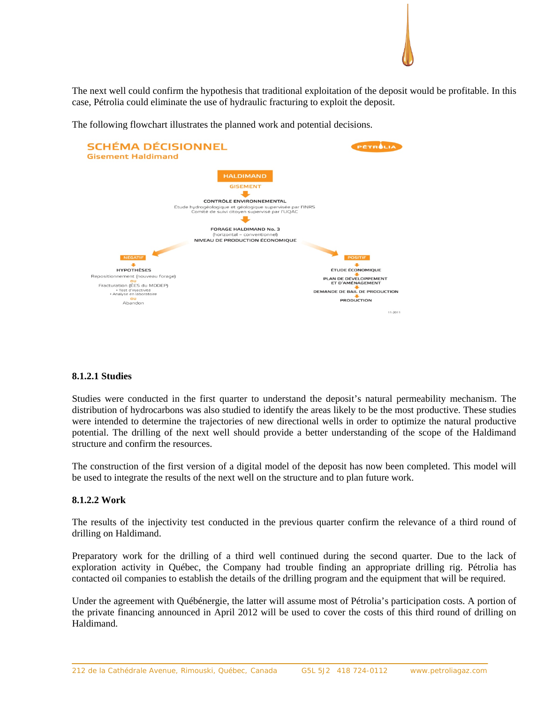The next well could confirm the hypothesis that traditional exploitation of the deposit would be profitable. In this case, Pétrolia could eliminate the use of hydraulic fracturing to exploit the deposit.



The following flowchart illustrates the planned work and potential decisions.

# **8.1.2.1 Studies**

Studies were conducted in the first quarter to understand the deposit's natural permeability mechanism. The distribution of hydrocarbons was also studied to identify the areas likely to be the most productive. These studies were intended to determine the trajectories of new directional wells in order to optimize the natural productive potential. The drilling of the next well should provide a better understanding of the scope of the Haldimand structure and confirm the resources.

The construction of the first version of a digital model of the deposit has now been completed. This model will be used to integrate the results of the next well on the structure and to plan future work.

### **8.1.2.2 Work**

The results of the injectivity test conducted in the previous quarter confirm the relevance of a third round of drilling on Haldimand.

Preparatory work for the drilling of a third well continued during the second quarter. Due to the lack of exploration activity in Québec, the Company had trouble finding an appropriate drilling rig. Pétrolia has contacted oil companies to establish the details of the drilling program and the equipment that will be required.

Under the agreement with Québénergie, the latter will assume most of Pétrolia's participation costs. A portion of the private financing announced in April 2012 will be used to cover the costs of this third round of drilling on Haldimand.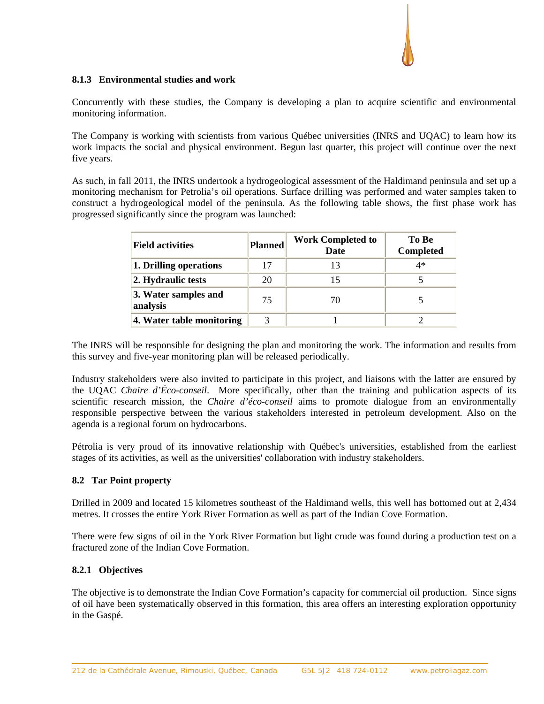# **8.1.3 Environmental studies and work**

Concurrently with these studies, the Company is developing a plan to acquire scientific and environmental monitoring information.

The Company is working with scientists from various Québec universities (INRS and UQAC) to learn how its work impacts the social and physical environment. Begun last quarter, this project will continue over the next five years.

As such, in fall 2011, the INRS undertook a hydrogeological assessment of the Haldimand peninsula and set up a monitoring mechanism for Petrolia's oil operations. Surface drilling was performed and water samples taken to construct a hydrogeological model of the peninsula. As the following table shows, the first phase work has progressed significantly since the program was launched:

| <b>Field activities</b>          | <b>Planned</b> | <b>Work Completed to</b><br><b>Date</b> | To Be<br><b>Completed</b> |  |
|----------------------------------|----------------|-----------------------------------------|---------------------------|--|
| 1. Drilling operations           | 17             |                                         | 4*                        |  |
| 2. Hydraulic tests               | 20             |                                         |                           |  |
| 3. Water samples and<br>analysis | 75             | 70                                      |                           |  |
| 4. Water table monitoring        |                |                                         |                           |  |

The INRS will be responsible for designing the plan and monitoring the work. The information and results from this survey and five-year monitoring plan will be released periodically.

Industry stakeholders were also invited to participate in this project, and liaisons with the latter are ensured by the UQAC *Chaire d'Éco-conseil*. More specifically, other than the training and publication aspects of its scientific research mission, the *Chaire d'éco-conseil* aims to promote dialogue from an environmentally responsible perspective between the various stakeholders interested in petroleum development. Also on the agenda is a regional forum on hydrocarbons.

Pétrolia is very proud of its innovative relationship with Québec's universities, established from the earliest stages of its activities, as well as the universities' collaboration with industry stakeholders.

### **8.2 Tar Point property**

Drilled in 2009 and located 15 kilometres southeast of the Haldimand wells, this well has bottomed out at 2,434 metres. It crosses the entire York River Formation as well as part of the Indian Cove Formation.

There were few signs of oil in the York River Formation but light crude was found during a production test on a fractured zone of the Indian Cove Formation.

### **8.2.1 Objectives**

The objective is to demonstrate the Indian Cove Formation's capacity for commercial oil production. Since signs of oil have been systematically observed in this formation, this area offers an interesting exploration opportunity in the Gaspé.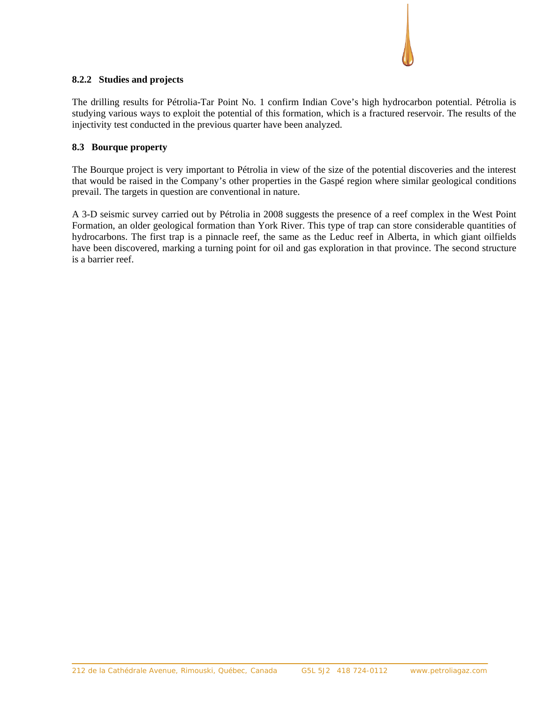### **8.2.2 Studies and projects**

The drilling results for Pétrolia-Tar Point No. 1 confirm Indian Cove's high hydrocarbon potential. Pétrolia is studying various ways to exploit the potential of this formation, which is a fractured reservoir. The results of the injectivity test conducted in the previous quarter have been analyzed.

### **8.3 Bourque property**

The Bourque project is very important to Pétrolia in view of the size of the potential discoveries and the interest that would be raised in the Company's other properties in the Gaspé region where similar geological conditions prevail. The targets in question are conventional in nature.

A 3-D seismic survey carried out by Pétrolia in 2008 suggests the presence of a reef complex in the West Point Formation, an older geological formation than York River. This type of trap can store considerable quantities of hydrocarbons. The first trap is a pinnacle reef, the same as the Leduc reef in Alberta, in which giant oilfields have been discovered, marking a turning point for oil and gas exploration in that province. The second structure is a barrier reef.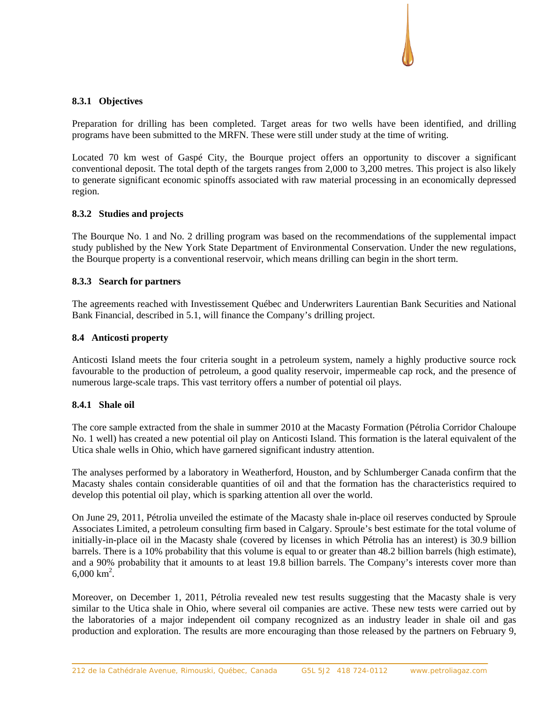## **8.3.1 Objectives**

Preparation for drilling has been completed. Target areas for two wells have been identified, and drilling programs have been submitted to the MRFN. These were still under study at the time of writing.

Located 70 km west of Gaspé City, the Bourque project offers an opportunity to discover a significant conventional deposit. The total depth of the targets ranges from 2,000 to 3,200 metres. This project is also likely to generate significant economic spinoffs associated with raw material processing in an economically depressed region.

### **8.3.2 Studies and projects**

The Bourque No. 1 and No. 2 drilling program was based on the recommendations of the supplemental impact study published by the New York State Department of Environmental Conservation. Under the new regulations, the Bourque property is a conventional reservoir, which means drilling can begin in the short term.

# **8.3.3 Search for partners**

The agreements reached with Investissement Québec and Underwriters Laurentian Bank Securities and National Bank Financial, described in 5.1, will finance the Company's drilling project.

# **8.4 Anticosti property**

Anticosti Island meets the four criteria sought in a petroleum system, namely a highly productive source rock favourable to the production of petroleum, a good quality reservoir, impermeable cap rock, and the presence of numerous large-scale traps. This vast territory offers a number of potential oil plays.

### **8.4.1 Shale oil**

The core sample extracted from the shale in summer 2010 at the Macasty Formation (Pétrolia Corridor Chaloupe No. 1 well) has created a new potential oil play on Anticosti Island. This formation is the lateral equivalent of the Utica shale wells in Ohio, which have garnered significant industry attention.

The analyses performed by a laboratory in Weatherford, Houston, and by Schlumberger Canada confirm that the Macasty shales contain considerable quantities of oil and that the formation has the characteristics required to develop this potential oil play, which is sparking attention all over the world.

On June 29, 2011, Pétrolia unveiled the estimate of the Macasty shale in-place oil reserves conducted by Sproule Associates Limited, a petroleum consulting firm based in Calgary. Sproule's best estimate for the total volume of initially-in-place oil in the Macasty shale (covered by licenses in which Pétrolia has an interest) is 30.9 billion barrels. There is a 10% probability that this volume is equal to or greater than 48.2 billion barrels (high estimate), and a 90% probability that it amounts to at least 19.8 billion barrels. The Company's interests cover more than  $6,000 \text{ km}^2$ .

Moreover, on December 1, 2011, Pétrolia revealed new test results suggesting that the Macasty shale is very similar to the Utica shale in Ohio, where several oil companies are active. These new tests were carried out by the laboratories of a major independent oil company recognized as an industry leader in shale oil and gas production and exploration. The results are more encouraging than those released by the partners on February 9,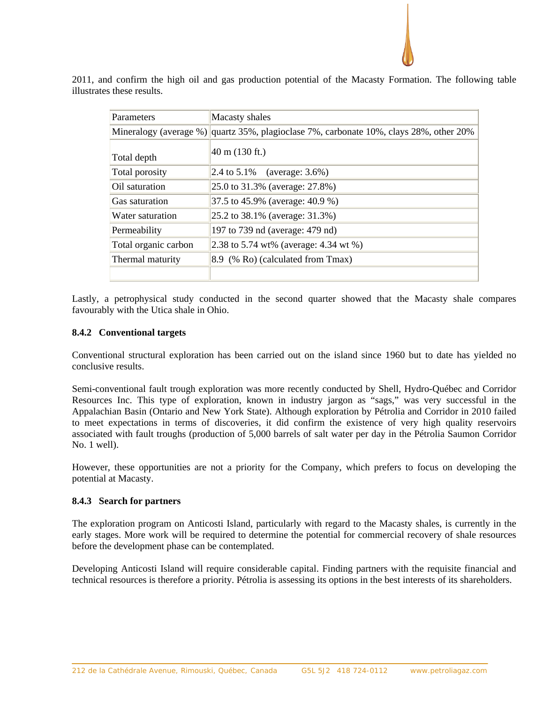

2011, and confirm the high oil and gas production potential of the Macasty Formation. The following table illustrates these results.

| Parameters           | Macasty shales                                                                         |
|----------------------|----------------------------------------------------------------------------------------|
|                      | Mineralogy (average %) quartz 35%, plagioclase 7%, carbonate 10%, clays 28%, other 20% |
| Total depth          | $40 \text{ m}$ (130 ft.)                                                               |
| Total porosity       | 2.4 to $5.1\%$ (average: $3.6\%$ )                                                     |
| Oil saturation       | 25.0 to 31.3% (average: 27.8%)                                                         |
| Gas saturation       | 37.5 to 45.9% (average: 40.9 %)                                                        |
| Water saturation     | 25.2 to 38.1% (average: 31.3%)                                                         |
| Permeability         | 197 to 739 nd (average: 479 nd)                                                        |
| Total organic carbon | 2.38 to 5.74 wt% (average: 4.34 wt %)                                                  |
| Thermal maturity     | 8.9 (% Ro) (calculated from Tmax)                                                      |
|                      |                                                                                        |

Lastly, a petrophysical study conducted in the second quarter showed that the Macasty shale compares favourably with the Utica shale in Ohio.

# **8.4.2 Conventional targets**

Conventional structural exploration has been carried out on the island since 1960 but to date has yielded no conclusive results.

Semi-conventional fault trough exploration was more recently conducted by Shell, Hydro-Québec and Corridor Resources Inc. This type of exploration, known in industry jargon as "sags," was very successful in the Appalachian Basin (Ontario and New York State). Although exploration by Pétrolia and Corridor in 2010 failed to meet expectations in terms of discoveries, it did confirm the existence of very high quality reservoirs associated with fault troughs (production of 5,000 barrels of salt water per day in the Pétrolia Saumon Corridor No. 1 well).

However, these opportunities are not a priority for the Company, which prefers to focus on developing the potential at Macasty.

### **8.4.3 Search for partners**

The exploration program on Anticosti Island, particularly with regard to the Macasty shales, is currently in the early stages. More work will be required to determine the potential for commercial recovery of shale resources before the development phase can be contemplated.

Developing Anticosti Island will require considerable capital. Finding partners with the requisite financial and technical resources is therefore a priority. Pétrolia is assessing its options in the best interests of its shareholders.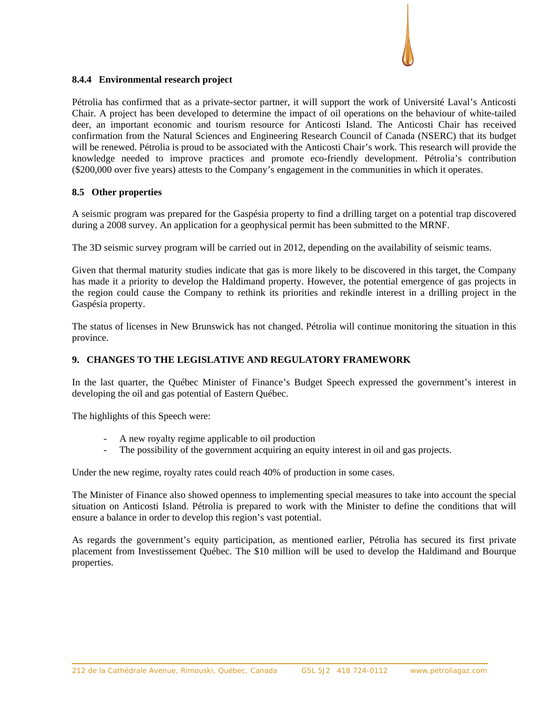# **8.4.4 Environmental research project**

Pétrolia has confirmed that as a private-sector partner, it will support the work of Université Laval's Anticosti Chair. A project has been developed to determine the impact of oil operations on the behaviour of white-tailed deer, an important economic and tourism resource for Anticosti Island. The Anticosti Chair has received confirmation from the Natural Sciences and Engineering Research Council of Canada (NSERC) that its budget will be renewed. Pétrolia is proud to be associated with the Anticosti Chair's work. This research will provide the knowledge needed to improve practices and promote eco-friendly development. Pétrolia's contribution (\$200,000 over five years) attests to the Company's engagement in the communities in which it operates.

# **8.5 Other properties**

A seismic program was prepared for the Gaspésia property to find a drilling target on a potential trap discovered during a 2008 survey. An application for a geophysical permit has been submitted to the MRNF.

The 3D seismic survey program will be carried out in 2012, depending on the availability of seismic teams.

Given that thermal maturity studies indicate that gas is more likely to be discovered in this target, the Company has made it a priority to develop the Haldimand property. However, the potential emergence of gas projects in the region could cause the Company to rethink its priorities and rekindle interest in a drilling project in the Gaspésia property.

The status of licenses in New Brunswick has not changed. Pétrolia will continue monitoring the situation in this province.

# **9. CHANGES TO THE LEGISLATIVE AND REGULATORY FRAMEWORK**

In the last quarter, the Québec Minister of Finance's Budget Speech expressed the government's interest in developing the oil and gas potential of Eastern Québec.

The highlights of this Speech were:

- A new royalty regime applicable to oil production
- The possibility of the government acquiring an equity interest in oil and gas projects.

Under the new regime, royalty rates could reach 40% of production in some cases.

The Minister of Finance also showed openness to implementing special measures to take into account the special situation on Anticosti Island. Pétrolia is prepared to work with the Minister to define the conditions that will ensure a balance in order to develop this region's vast potential.

As regards the government's equity participation, as mentioned earlier, Pétrolia has secured its first private placement from Investissement Québec. The \$10 million will be used to develop the Haldimand and Bourque properties.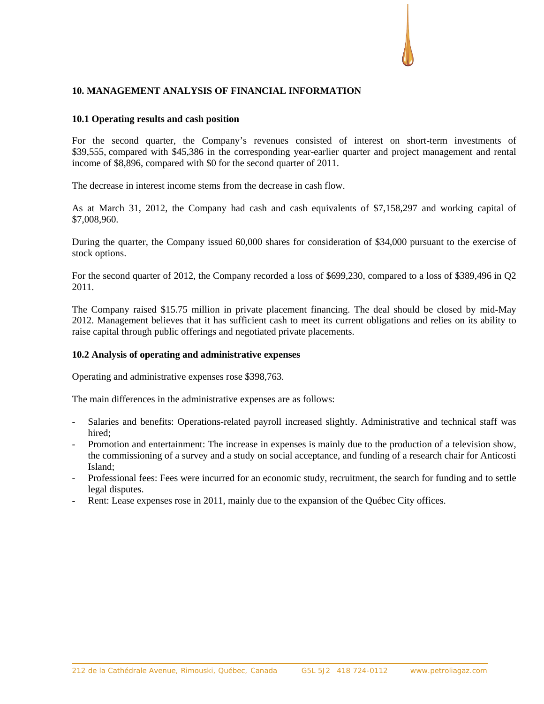# **10. MANAGEMENT ANALYSIS OF FINANCIAL INFORMATION**

### **10.1 Operating results and cash position**

For the second quarter, the Company's revenues consisted of interest on short-term investments of \$39,555, compared with \$45,386 in the corresponding year-earlier quarter and project management and rental income of \$8,896, compared with \$0 for the second quarter of 2011.

The decrease in interest income stems from the decrease in cash flow.

As at March 31, 2012, the Company had cash and cash equivalents of \$7,158,297 and working capital of \$7,008,960.

During the quarter, the Company issued 60,000 shares for consideration of \$34,000 pursuant to the exercise of stock options.

For the second quarter of 2012, the Company recorded a loss of \$699,230, compared to a loss of \$389,496 in Q2 2011.

The Company raised \$15.75 million in private placement financing. The deal should be closed by mid-May 2012. Management believes that it has sufficient cash to meet its current obligations and relies on its ability to raise capital through public offerings and negotiated private placements.

### **10.2 Analysis of operating and administrative expenses**

Operating and administrative expenses rose \$398,763.

The main differences in the administrative expenses are as follows:

- Salaries and benefits: Operations-related payroll increased slightly. Administrative and technical staff was hired<sup>.</sup>
- Promotion and entertainment: The increase in expenses is mainly due to the production of a television show, the commissioning of a survey and a study on social acceptance, and funding of a research chair for Anticosti Island;
- Professional fees: Fees were incurred for an economic study, recruitment, the search for funding and to settle legal disputes.
- Rent: Lease expenses rose in 2011, mainly due to the expansion of the Québec City offices.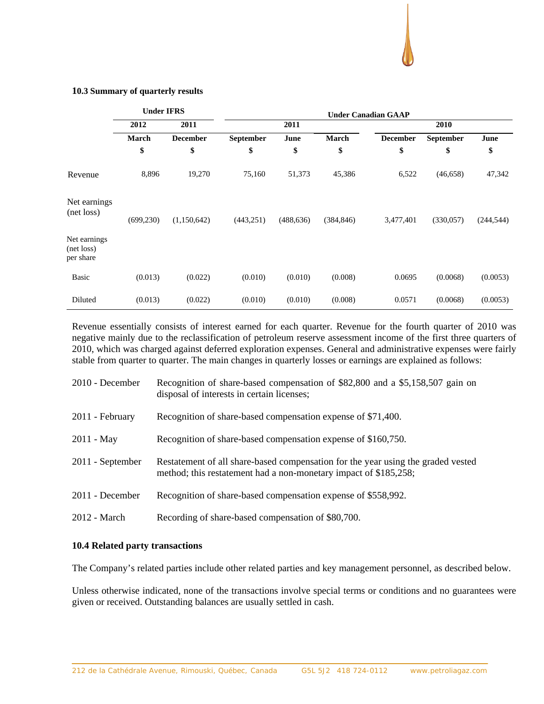## **10.3 Summary of quarterly results**

|                                         | <b>Under IFRS</b> |                 | <b>Under Canadian GAAP</b> |            |            |                 |                  |            |
|-----------------------------------------|-------------------|-----------------|----------------------------|------------|------------|-----------------|------------------|------------|
|                                         | 2012              | 2011            |                            | 2011       |            |                 | 2010             |            |
|                                         | <b>March</b>      | <b>December</b> | <b>September</b>           | June       | March      | <b>December</b> | <b>September</b> | June       |
|                                         | \$                | \$              | \$                         | \$         | \$         | \$              | \$               | \$         |
| Revenue                                 | 8,896             | 19,270          | 75,160                     | 51,373     | 45,386     | 6,522           | (46, 658)        | 47,342     |
| Net earnings<br>(net loss)              | (699, 230)        | (1,150,642)     | (443, 251)                 | (488, 636) | (384, 846) | 3,477,401       | (330,057)        | (244, 544) |
| Net earnings<br>(net loss)<br>per share |                   |                 |                            |            |            |                 |                  |            |
| <b>Basic</b>                            | (0.013)           | (0.022)         | (0.010)                    | (0.010)    | (0.008)    | 0.0695          | (0.0068)         | (0.0053)   |
| Diluted                                 | (0.013)           | (0.022)         | (0.010)                    | (0.010)    | (0.008)    | 0.0571          | (0.0068)         | (0.0053)   |

Revenue essentially consists of interest earned for each quarter. Revenue for the fourth quarter of 2010 was negative mainly due to the reclassification of petroleum reserve assessment income of the first three quarters of 2010, which was charged against deferred exploration expenses. General and administrative expenses were fairly stable from quarter to quarter. The main changes in quarterly losses or earnings are explained as follows:

| $2010$ - December | Recognition of share-based compensation of \$82,800 and a \$5,158,507 gain on<br>disposal of interests in certain licenses;                          |
|-------------------|------------------------------------------------------------------------------------------------------------------------------------------------------|
| 2011 - February   | Recognition of share-based compensation expense of \$71,400.                                                                                         |
| $2011 - May$      | Recognition of share-based compensation expense of \$160,750.                                                                                        |
| 2011 - September  | Restatement of all share-based compensation for the year using the graded vested<br>method; this restatement had a non-monetary impact of \$185,258; |
| 2011 - December   | Recognition of share-based compensation expense of \$558,992.                                                                                        |
| 2012 - March      | Recording of share-based compensation of \$80,700.                                                                                                   |

### **10.4 Related party transactions**

The Company's related parties include other related parties and key management personnel, as described below.

Unless otherwise indicated, none of the transactions involve special terms or conditions and no guarantees were given or received. Outstanding balances are usually settled in cash.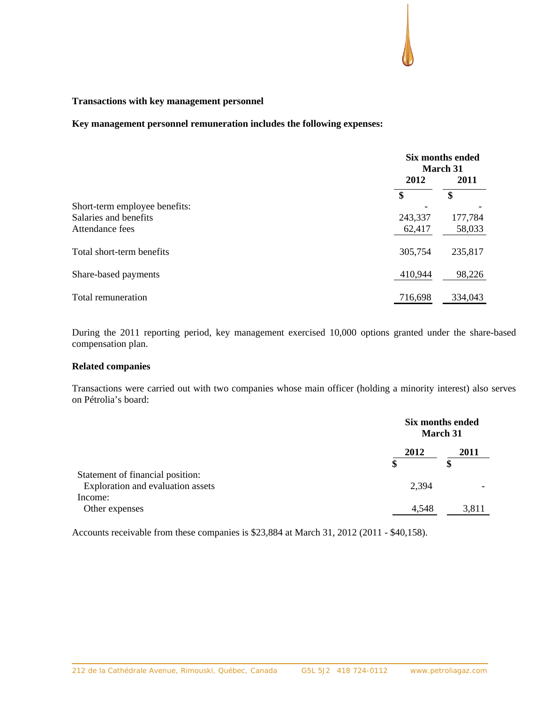# **Transactions with key management personnel**

**Key management personnel remuneration includes the following expenses:**

|                               |         | Six months ended<br>March 31 |  |
|-------------------------------|---------|------------------------------|--|
|                               | 2012    | 2011                         |  |
|                               | \$      | \$                           |  |
| Short-term employee benefits: |         |                              |  |
| Salaries and benefits         | 243,337 | 177,784                      |  |
| Attendance fees               | 62,417  | 58,033                       |  |
| Total short-term benefits     | 305,754 | 235,817                      |  |
| Share-based payments          | 410,944 | 98,226                       |  |
| Total remuneration            | 716,698 | 334,043                      |  |

During the 2011 reporting period, key management exercised 10,000 options granted under the share-based compensation plan.

# **Related companies**

Transactions were carried out with two companies whose main officer (holding a minority interest) also serves on Pétrolia's board:

|                                                                       |            | Six months ended<br><b>March 31</b> |  |
|-----------------------------------------------------------------------|------------|-------------------------------------|--|
|                                                                       | 2012<br>\$ | 2011                                |  |
| Statement of financial position:<br>Exploration and evaluation assets | 2,394      |                                     |  |
| Income:<br>Other expenses                                             | 4,548      | 3,811                               |  |

Accounts receivable from these companies is \$23,884 at March 31, 2012 (2011 - \$40,158).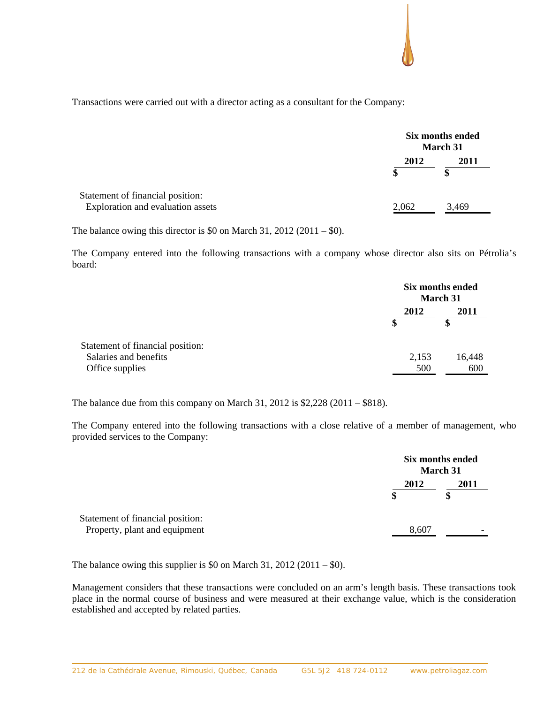Transactions were carried out with a director acting as a consultant for the Company:

|                                                                       |       | Six months ended<br>March 31 |  |
|-----------------------------------------------------------------------|-------|------------------------------|--|
|                                                                       | 2012  | 2011                         |  |
|                                                                       | S     | \$                           |  |
| Statement of financial position:<br>Exploration and evaluation assets | 2,062 | 3,469                        |  |

The balance owing this director is \$0 on March 31, 2012 (2011 – \$0).

The Company entered into the following transactions with a company whose director also sits on Pétrolia's board:

|                                  |       | Six months ended<br><b>March 31</b> |  |
|----------------------------------|-------|-------------------------------------|--|
|                                  | 2012  | 2011                                |  |
|                                  | \$    | \$                                  |  |
| Statement of financial position: |       |                                     |  |
| Salaries and benefits            | 2,153 | 16,448                              |  |
| Office supplies                  | 500   | 600                                 |  |

The balance due from this company on March 31, 2012 is \$2,228 (2011 – \$818).

The Company entered into the following transactions with a close relative of a member of management, who provided services to the Company:

|                                                                   |       | Six months ended<br><b>March 31</b> |  |
|-------------------------------------------------------------------|-------|-------------------------------------|--|
|                                                                   | 2012  | 2011                                |  |
| Statement of financial position:<br>Property, plant and equipment | 8,607 |                                     |  |

The balance owing this supplier is \$0 on March 31, 2012 (2011 – \$0).

Management considers that these transactions were concluded on an arm's length basis. These transactions took place in the normal course of business and were measured at their exchange value, which is the consideration established and accepted by related parties.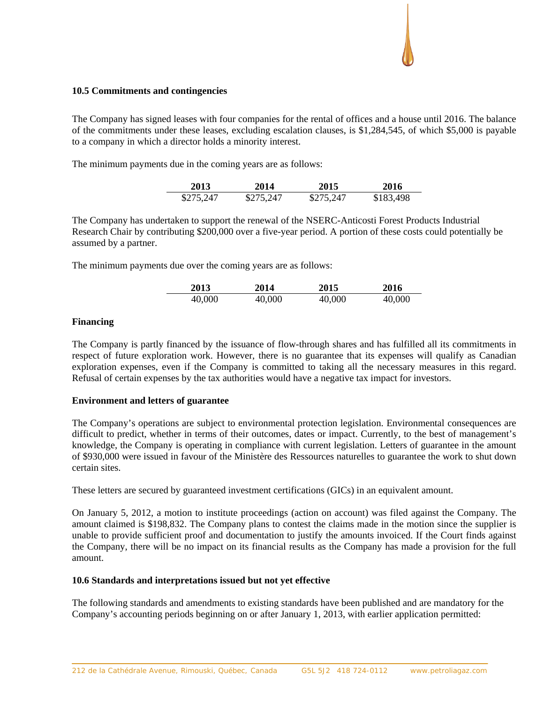# **10.5 Commitments and contingencies**

The Company has signed leases with four companies for the rental of offices and a house until 2016. The balance of the commitments under these leases, excluding escalation clauses, is \$1,284,545, of which \$5,000 is payable to a company in which a director holds a minority interest.

The minimum payments due in the coming years are as follows:

| 2013      | 2014      | 2015      | 2016      |
|-----------|-----------|-----------|-----------|
| \$275,247 | \$275,247 | \$275,247 | \$183,498 |

The Company has undertaken to support the renewal of the NSERC-Anticosti Forest Products Industrial Research Chair by contributing \$200,000 over a five-year period. A portion of these costs could potentially be assumed by a partner.

The minimum payments due over the coming years are as follows:

| 2013   | 2014   | 2015   | 2016   |
|--------|--------|--------|--------|
| 40,000 | 40,000 | 40,000 | 40,000 |

# **Financing**

The Company is partly financed by the issuance of flow-through shares and has fulfilled all its commitments in respect of future exploration work. However, there is no guarantee that its expenses will qualify as Canadian exploration expenses, even if the Company is committed to taking all the necessary measures in this regard. Refusal of certain expenses by the tax authorities would have a negative tax impact for investors.

### **Environment and letters of guarantee**

The Company's operations are subject to environmental protection legislation. Environmental consequences are difficult to predict, whether in terms of their outcomes, dates or impact. Currently, to the best of management's knowledge, the Company is operating in compliance with current legislation. Letters of guarantee in the amount of \$930,000 were issued in favour of the Ministère des Ressources naturelles to guarantee the work to shut down certain sites.

These letters are secured by guaranteed investment certifications (GICs) in an equivalent amount.

On January 5, 2012, a motion to institute proceedings (action on account) was filed against the Company. The amount claimed is \$198,832. The Company plans to contest the claims made in the motion since the supplier is unable to provide sufficient proof and documentation to justify the amounts invoiced. If the Court finds against the Company, there will be no impact on its financial results as the Company has made a provision for the full amount.

### **10.6 Standards and interpretations issued but not yet effective**

The following standards and amendments to existing standards have been published and are mandatory for the Company's accounting periods beginning on or after January 1, 2013, with earlier application permitted: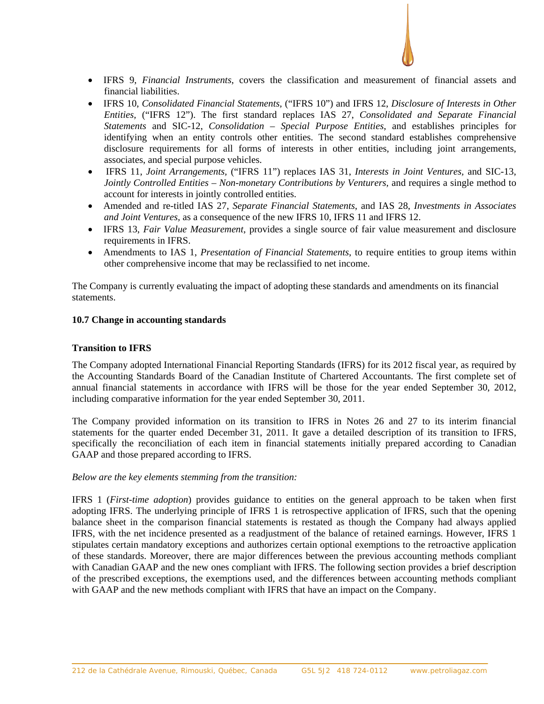

- IFRS 9, *Financial Instruments*, covers the classification and measurement of financial assets and financial liabilities.
- IFRS 10, *Consolidated Financial Statements,* ("IFRS 10") and IFRS 12, *Disclosure of Interests in Other Entities,* ("IFRS 12"). The first standard replaces IAS 27, *Consolidated and Separate Financial Statements* and SIC-12, *Consolidation – Special Purpose Entities*, and establishes principles for identifying when an entity controls other entities. The second standard establishes comprehensive disclosure requirements for all forms of interests in other entities, including joint arrangements, associates, and special purpose vehicles.
- IFRS 11, *Joint Arrangements,* ("IFRS 11") replaces IAS 31, *Interests in Joint Ventures,* and SIC-13, *Jointly Controlled Entities – Non-monetary Contributions by Venturers, and requires a single method to* account for interests in jointly controlled entities.
- Amended and re-titled IAS 27, *Separate Financial Statements*, and IAS 28, *Investments in Associates and Joint Ventures,* as a consequence of the new IFRS 10, IFRS 11 and IFRS 12.
- IFRS 13, *Fair Value Measurement*, provides a single source of fair value measurement and disclosure requirements in IFRS.
- Amendments to IAS 1, *Presentation of Financial Statements*, to require entities to group items within other comprehensive income that may be reclassified to net income.

The Company is currently evaluating the impact of adopting these standards and amendments on its financial statements.

# **10.7 Change in accounting standards**

## **Transition to IFRS**

The Company adopted International Financial Reporting Standards (IFRS) for its 2012 fiscal year, as required by the Accounting Standards Board of the Canadian Institute of Chartered Accountants. The first complete set of annual financial statements in accordance with IFRS will be those for the year ended September 30, 2012, including comparative information for the year ended September 30, 2011.

The Company provided information on its transition to IFRS in Notes 26 and 27 to its interim financial statements for the quarter ended December 31, 2011. It gave a detailed description of its transition to IFRS, specifically the reconciliation of each item in financial statements initially prepared according to Canadian GAAP and those prepared according to IFRS.

### *Below are the key elements stemming from the transition:*

IFRS 1 (*First-time adoption*) provides guidance to entities on the general approach to be taken when first adopting IFRS. The underlying principle of IFRS 1 is retrospective application of IFRS, such that the opening balance sheet in the comparison financial statements is restated as though the Company had always applied IFRS, with the net incidence presented as a readjustment of the balance of retained earnings. However, IFRS 1 stipulates certain mandatory exceptions and authorizes certain optional exemptions to the retroactive application of these standards. Moreover, there are major differences between the previous accounting methods compliant with Canadian GAAP and the new ones compliant with IFRS. The following section provides a brief description of the prescribed exceptions, the exemptions used, and the differences between accounting methods compliant with GAAP and the new methods compliant with IFRS that have an impact on the Company.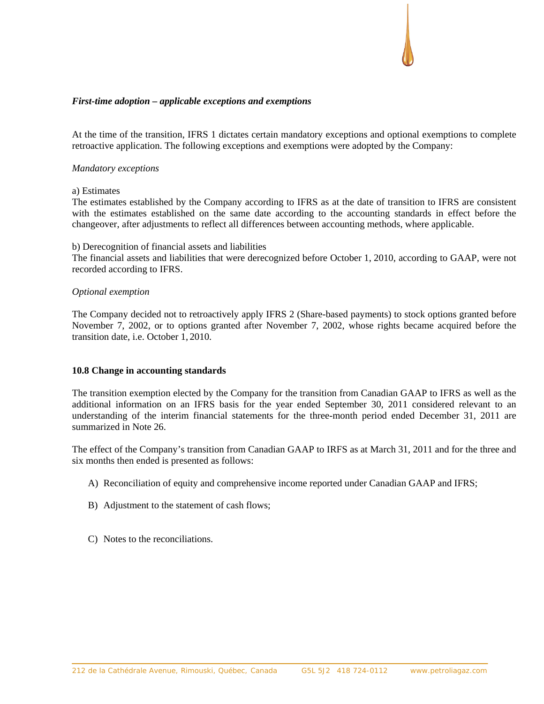#### *First-time adoption – applicable exceptions and exemptions*

At the time of the transition, IFRS 1 dictates certain mandatory exceptions and optional exemptions to complete retroactive application. The following exceptions and exemptions were adopted by the Company:

#### *Mandatory exceptions*

#### a) Estimates

The estimates established by the Company according to IFRS as at the date of transition to IFRS are consistent with the estimates established on the same date according to the accounting standards in effect before the changeover, after adjustments to reflect all differences between accounting methods, where applicable.

#### b) Derecognition of financial assets and liabilities

The financial assets and liabilities that were derecognized before October 1, 2010, according to GAAP, were not recorded according to IFRS.

#### *Optional exemption*

The Company decided not to retroactively apply IFRS 2 (Share-based payments) to stock options granted before November 7, 2002, or to options granted after November 7, 2002, whose rights became acquired before the transition date, i.e. October 1, 2010.

### **10.8 Change in accounting standards**

The transition exemption elected by the Company for the transition from Canadian GAAP to IFRS as well as the additional information on an IFRS basis for the year ended September 30, 2011 considered relevant to an understanding of the interim financial statements for the three-month period ended December 31, 2011 are summarized in Note 26.

The effect of the Company's transition from Canadian GAAP to IRFS as at March 31, 2011 and for the three and six months then ended is presented as follows:

- A) Reconciliation of equity and comprehensive income reported under Canadian GAAP and IFRS;
- B) Adjustment to the statement of cash flows;
- C) Notes to the reconciliations.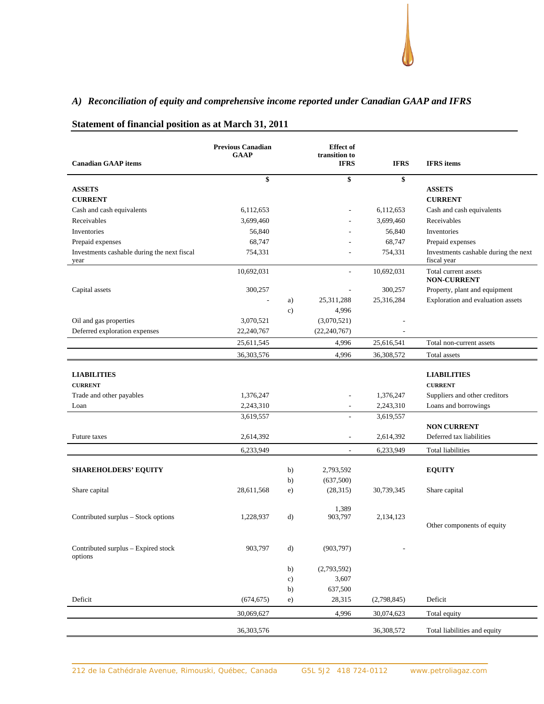# *A) Reconciliation of equity and comprehensive income reported under Canadian GAAP and IFRS*

|                                                     | <b>Previous Canadian</b> |               | <b>Effect</b> of             |             |                                                     |
|-----------------------------------------------------|--------------------------|---------------|------------------------------|-------------|-----------------------------------------------------|
| <b>Canadian GAAP</b> items                          | <b>GAAP</b>              |               | transition to<br><b>IFRS</b> | <b>IFRS</b> | <b>IFRS</b> items                                   |
|                                                     | \$                       |               | \$                           | \$          |                                                     |
| <b>ASSETS</b>                                       |                          |               |                              |             | <b>ASSETS</b>                                       |
| <b>CURRENT</b>                                      |                          |               |                              |             | <b>CURRENT</b>                                      |
| Cash and cash equivalents                           | 6,112,653                |               |                              | 6,112,653   | Cash and cash equivalents                           |
| Receivables                                         | 3,699,460                |               |                              | 3,699,460   | Receivables                                         |
| Inventories                                         | 56,840                   |               |                              | 56,840      | Inventories                                         |
| Prepaid expenses                                    | 68,747                   |               |                              | 68,747      | Prepaid expenses                                    |
| Investments cashable during the next fiscal<br>year | 754,331                  |               |                              | 754,331     | Investments cashable during the next<br>fiscal year |
|                                                     | 10,692,031               |               | $\overline{\phantom{a}}$     | 10,692,031  | Total current assets<br><b>NON-CURRENT</b>          |
| Capital assets                                      | 300,257                  |               |                              | 300,257     | Property, plant and equipment                       |
|                                                     |                          | a)            | 25,311,288                   | 25,316,284  | Exploration and evaluation assets                   |
|                                                     |                          | c)            | 4,996                        |             |                                                     |
| Oil and gas properties                              | 3,070,521                |               | (3,070,521)                  |             |                                                     |
| Deferred exploration expenses                       | 22,240,767               |               | (22, 240, 767)               |             |                                                     |
|                                                     | 25,611,545               |               | 4,996                        | 25,616,541  | Total non-current assets                            |
|                                                     | 36,303,576               |               | 4,996                        | 36,308,572  | Total assets                                        |
| <b>LIABILITIES</b>                                  |                          |               |                              |             | <b>LIABILITIES</b>                                  |
| <b>CURRENT</b>                                      |                          |               |                              |             | <b>CURRENT</b>                                      |
| Trade and other payables                            | 1,376,247                |               |                              | 1,376,247   | Suppliers and other creditors                       |
| Loan                                                | 2,243,310                |               | $\overline{\phantom{a}}$     | 2,243,310   | Loans and borrowings                                |
|                                                     | 3,619,557                |               | $\sim$                       | 3,619,557   |                                                     |
|                                                     |                          |               |                              |             | <b>NON CURRENT</b>                                  |
| Future taxes                                        | 2,614,392                |               | $\overline{\phantom{a}}$     | 2,614,392   | Deferred tax liabilities                            |
|                                                     | 6,233,949                |               | $\overline{\phantom{a}}$     | 6,233,949   | <b>Total liabilities</b>                            |
|                                                     |                          |               |                              |             |                                                     |
| <b>SHAREHOLDERS' EQUITY</b>                         |                          | b)            | 2,793,592                    |             | <b>EQUITY</b>                                       |
| Share capital                                       | 28,611,568               | b)            | (637,500)<br>(28, 315)       | 30,739,345  | Share capital                                       |
|                                                     |                          | e)            |                              |             |                                                     |
|                                                     |                          |               | 1,389                        |             |                                                     |
| Contributed surplus - Stock options                 | 1,228,937                | d)            | 903,797                      | 2,134,123   | Other components of equity                          |
|                                                     |                          |               |                              |             |                                                     |
| Contributed surplus - Expired stock<br>options      | 903,797                  | $\rm d$       | (903, 797)                   |             |                                                     |
|                                                     |                          | b)            | (2,793,592)                  |             |                                                     |
|                                                     |                          | $\mathbf{c})$ | 3,607                        |             |                                                     |
|                                                     |                          | b)            | 637,500                      |             |                                                     |
| Deficit                                             | (674, 675)               | e)            | 28,315                       | (2,798,845) | Deficit                                             |
|                                                     | 30,069,627               |               | 4,996                        | 30,074,623  | Total equity                                        |
|                                                     | 36,303,576               |               |                              | 36,308,572  | Total liabilities and equity                        |

# **Statement of financial position as at March 31, 2011**

212 de la Cathédrale Avenue, Rimouski, Québec, Canada G5L 5J2 418 724-0112 www.petroliagaz.com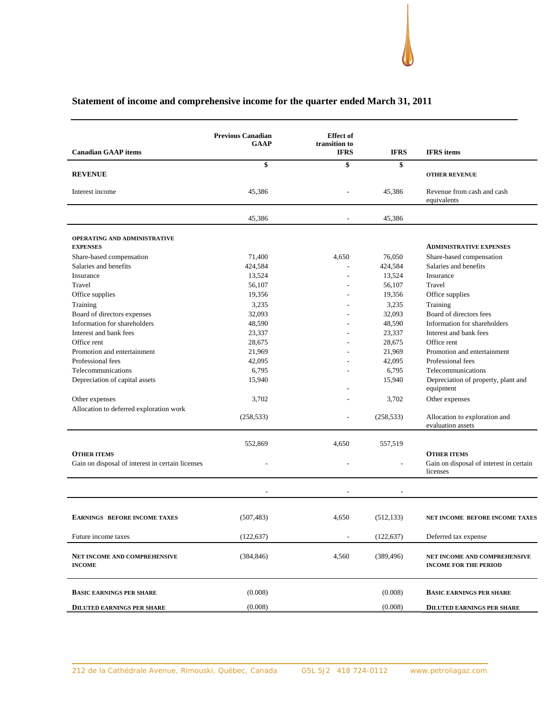#### **Canadian GAAP items Previous Canadian GAAP Effect of transition to IFRS IFRS IFRS items \$ \$ \$ REVENUE OTHER REVENUE** Interest income 45,386 - 45,386 Revenue from cash and cash equivalents 45,386 - 45,386 **OPERATING AND ADMINISTRATIVE EXPENSES ADMINISTRATIVE EXPENSES** Share-based compensation  $71,400$   $4,650$   $76,050$  Share-based compensation Salaries and benefits **424,584** - 424,584 Salaries and benefits **424,584** Salaries and benefits **Insurance** 13,524 **Insurance** 13,524 **Insurance** Travel 56,107 - 56,107 Travel Office supplies 19,356 19,356 - 19,356 Office supplies Training 3,235 Training 3,235 Training 3,235 Training 3,235 Training 3,235 Training Board of directors expenses 32,093 - 32,093 Board of directors fees Information for shareholders  $48,590$   $48,590$   $48,590$  Information for shareholders Interest and bank fees 23,337 23,337 23,337 Interest and bank fees Office rent 28,675 28,675 Office rent 28,675 Office rent Promotion and entertainment 21,969 21,969 Promotion and entertainment 21,969 Promotion and entertainment Professional fees **42,095** - 42,095 Professional fees Telecommunications 6,795 6,795 - 6,795 Telecommunications Depreciation of capital assets 15,940 - 15,940 Depreciation of property, plant and equipment Other expenses 3,702 - 3,702 Other expenses Allocation to deferred exploration work (258,533) - (258,533) Allocation to exploration and evaluation assets 552,869 4,650 557,519 **OTHER ITEMS OTHER ITEMS** Gain on disposal of interest in certain licenses - - - - - - - - - - - - Gain on disposal of interest in certain licenses - - - EARNINGS BEFORE INCOME TAXES (507,483) 4,650 (512,133) **NET INCOME BEFORE INCOME TAXES** Future income taxes (122,637) (122,637) Deferred tax expense **NET INCOME AND COMPREHENSIVE INCOME** (384,846) 4,560 (389,496) **NET INCOME AND COMPREHENSIVE INCOME FOR THE PERIOD BASIC EARNINGS PER SHARE** (0.008) (0.008) **BASIC EARNINGS PER SHARE**

### **Statement of income and comprehensive income for the quarter ended March 31, 2011**

**DILUTED EARNINGS PER SHARE** (0.008) (0.008) (0.008) **DILUTED EARNINGS PER SHARE**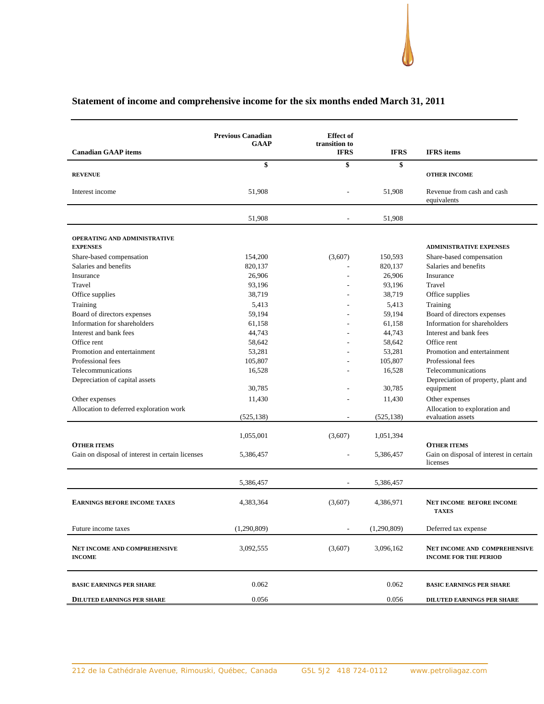#### **Canadian GAAP items Previous Canadian GAAP Effect of transition to IFRS IFRS IFRS items \$ \$ \$ REVENUE CONTRACTES AND STRUCTURE INCOME** 51,908 - 51,908 Revenue from cash and cash equivalents

# **Statement of income and comprehensive income for the six months ended March 31, 2011**

| Interest income                                        | 51,908      |                          | 51,908      | Revenue from cash and cash<br>equivalents                           |
|--------------------------------------------------------|-------------|--------------------------|-------------|---------------------------------------------------------------------|
|                                                        | 51,908      |                          | 51,908      |                                                                     |
| <b>OPERATING AND ADMINISTRATIVE</b><br><b>EXPENSES</b> |             |                          |             |                                                                     |
|                                                        |             |                          |             | <b>ADMINISTRATIVE EXPENSES</b>                                      |
| Share-based compensation                               | 154,200     | (3,607)                  | 150,593     | Share-based compensation                                            |
| Salaries and benefits                                  | 820,137     |                          | 820,137     | Salaries and benefits                                               |
| Insurance                                              | 26.906      |                          | 26.906      | <b>Insurance</b>                                                    |
| Travel                                                 | 93,196      |                          | 93,196      | Travel                                                              |
| Office supplies                                        | 38,719      |                          | 38,719      | Office supplies                                                     |
| Training                                               | 5,413       |                          | 5,413       | Training                                                            |
| Board of directors expenses                            | 59.194      |                          | 59,194      | Board of directors expenses                                         |
| Information for shareholders                           | 61,158      |                          | 61,158      | Information for shareholders                                        |
| Interest and bank fees                                 | 44,743      |                          | 44,743      | Interest and bank fees                                              |
| Office rent                                            | 58,642      |                          | 58,642      | Office rent                                                         |
| Promotion and entertainment                            | 53,281      |                          | 53,281      | Promotion and entertainment                                         |
| Professional fees                                      | 105,807     |                          | 105,807     | Professional fees                                                   |
| Telecommunications                                     | 16,528      |                          | 16,528      | Telecommunications                                                  |
| Depreciation of capital assets                         | 30,785      |                          | 30,785      | Depreciation of property, plant and<br>equipment                    |
| Other expenses                                         | 11,430      |                          | 11,430      | Other expenses                                                      |
| Allocation to deferred exploration work                |             |                          |             | Allocation to exploration and                                       |
|                                                        | (525, 138)  | ÷                        | (525, 138)  | evaluation assets                                                   |
|                                                        | 1,055,001   | (3,607)                  | 1,051,394   |                                                                     |
| <b>OTHER ITEMS</b>                                     |             |                          |             | <b>OTHER ITEMS</b>                                                  |
| Gain on disposal of interest in certain licenses       | 5,386,457   |                          | 5,386,457   | Gain on disposal of interest in certain<br>licenses                 |
|                                                        | 5,386,457   | $\overline{\phantom{a}}$ | 5,386,457   |                                                                     |
| <b>EARNINGS BEFORE INCOME TAXES</b>                    | 4,383,364   | (3,607)                  | 4,386,971   | <b>NET INCOME BEFORE INCOME</b><br><b>TAXES</b>                     |
| Future income taxes                                    | (1,290,809) |                          | (1,290,809) | Deferred tax expense                                                |
| <b>NET INCOME AND COMPREHENSIVE</b><br><b>INCOME</b>   | 3,092,555   | (3,607)                  | 3,096,162   | <b>NET INCOME AND COMPREHENSIVE</b><br><b>INCOME FOR THE PERIOD</b> |
| <b>BASIC EARNINGS PER SHARE</b>                        | 0.062       |                          | 0.062       | <b>BASIC EARNINGS PER SHARE</b>                                     |
| <b>DILUTED EARNINGS PER SHARE</b>                      | 0.056       |                          | 0.056       | DILUTED EARNINGS PER SHARE                                          |
|                                                        |             |                          |             |                                                                     |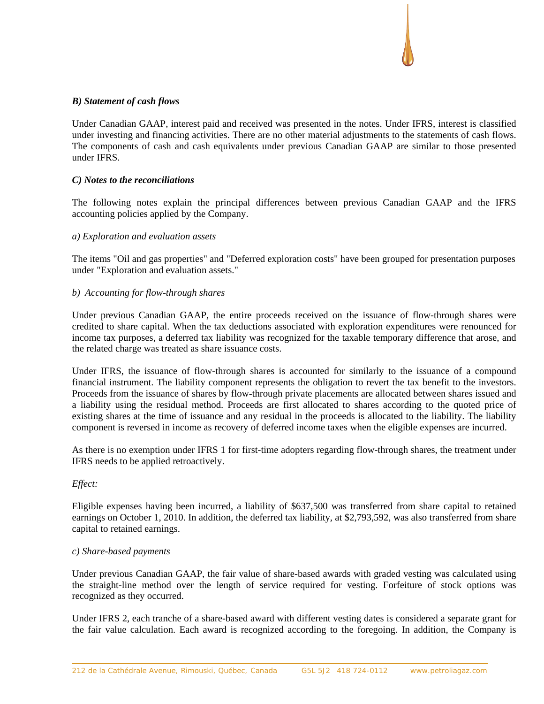# *B) Statement of cash flows*

Under Canadian GAAP, interest paid and received was presented in the notes. Under IFRS, interest is classified under investing and financing activities. There are no other material adjustments to the statements of cash flows. The components of cash and cash equivalents under previous Canadian GAAP are similar to those presented under IFRS.

# *C) Notes to the reconciliations*

The following notes explain the principal differences between previous Canadian GAAP and the IFRS accounting policies applied by the Company.

# *a) Exploration and evaluation assets*

The items "Oil and gas properties" and "Deferred exploration costs" have been grouped for presentation purposes under "Exploration and evaluation assets."

# *b) Accounting for flow-through shares*

Under previous Canadian GAAP, the entire proceeds received on the issuance of flow-through shares were credited to share capital. When the tax deductions associated with exploration expenditures were renounced for income tax purposes, a deferred tax liability was recognized for the taxable temporary difference that arose, and the related charge was treated as share issuance costs.

Under IFRS, the issuance of flow-through shares is accounted for similarly to the issuance of a compound financial instrument. The liability component represents the obligation to revert the tax benefit to the investors. Proceeds from the issuance of shares by flow-through private placements are allocated between shares issued and a liability using the residual method. Proceeds are first allocated to shares according to the quoted price of existing shares at the time of issuance and any residual in the proceeds is allocated to the liability. The liability component is reversed in income as recovery of deferred income taxes when the eligible expenses are incurred.

As there is no exemption under IFRS 1 for first-time adopters regarding flow-through shares, the treatment under IFRS needs to be applied retroactively.

### *Effect:*

Eligible expenses having been incurred, a liability of \$637,500 was transferred from share capital to retained earnings on October 1, 2010. In addition, the deferred tax liability, at \$2,793,592, was also transferred from share capital to retained earnings.

### *c) Share-based payments*

Under previous Canadian GAAP, the fair value of share-based awards with graded vesting was calculated using the straight-line method over the length of service required for vesting. Forfeiture of stock options was recognized as they occurred.

Under IFRS 2, each tranche of a share-based award with different vesting dates is considered a separate grant for the fair value calculation. Each award is recognized according to the foregoing. In addition, the Company is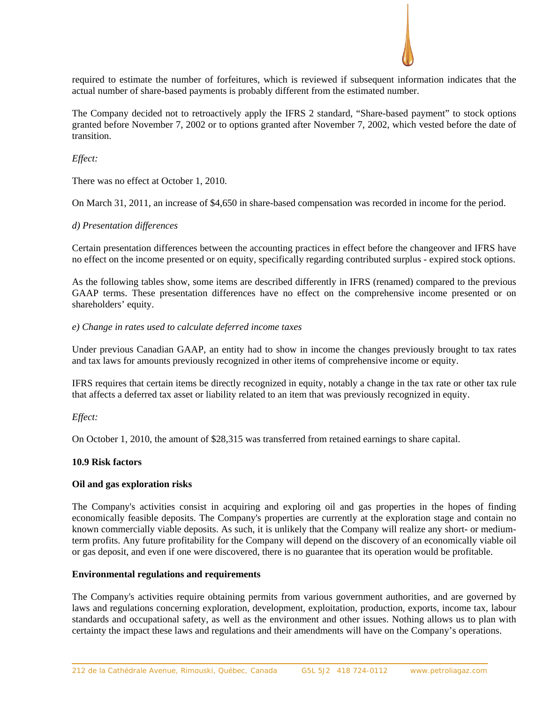

required to estimate the number of forfeitures, which is reviewed if subsequent information indicates that the actual number of share-based payments is probably different from the estimated number.

The Company decided not to retroactively apply the IFRS 2 standard, "Share-based payment" to stock options granted before November 7, 2002 or to options granted after November 7, 2002, which vested before the date of transition.

# *Effect:*

There was no effect at October 1, 2010.

On March 31, 2011, an increase of \$4,650 in share-based compensation was recorded in income for the period.

# *d) Presentation differences*

Certain presentation differences between the accounting practices in effect before the changeover and IFRS have no effect on the income presented or on equity, specifically regarding contributed surplus - expired stock options.

As the following tables show, some items are described differently in IFRS (renamed) compared to the previous GAAP terms. These presentation differences have no effect on the comprehensive income presented or on shareholders' equity.

# *e) Change in rates used to calculate deferred income taxes*

Under previous Canadian GAAP, an entity had to show in income the changes previously brought to tax rates and tax laws for amounts previously recognized in other items of comprehensive income or equity.

IFRS requires that certain items be directly recognized in equity, notably a change in the tax rate or other tax rule that affects a deferred tax asset or liability related to an item that was previously recognized in equity.

# *Effect:*

On October 1, 2010, the amount of \$28,315 was transferred from retained earnings to share capital.

# **10.9 Risk factors**

# **Oil and gas exploration risks**

The Company's activities consist in acquiring and exploring oil and gas properties in the hopes of finding economically feasible deposits. The Company's properties are currently at the exploration stage and contain no known commercially viable deposits. As such, it is unlikely that the Company will realize any short- or mediumterm profits. Any future profitability for the Company will depend on the discovery of an economically viable oil or gas deposit, and even if one were discovered, there is no guarantee that its operation would be profitable.

### **Environmental regulations and requirements**

The Company's activities require obtaining permits from various government authorities, and are governed by laws and regulations concerning exploration, development, exploitation, production, exports, income tax, labour standards and occupational safety, as well as the environment and other issues. Nothing allows us to plan with certainty the impact these laws and regulations and their amendments will have on the Company's operations.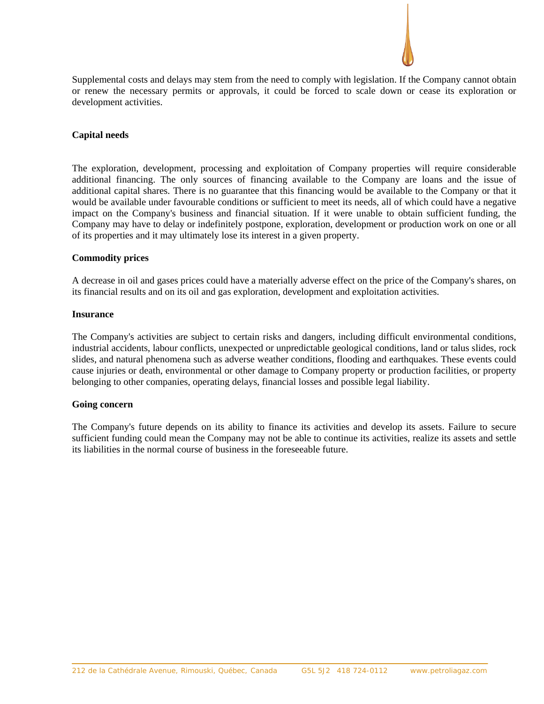

Supplemental costs and delays may stem from the need to comply with legislation. If the Company cannot obtain or renew the necessary permits or approvals, it could be forced to scale down or cease its exploration or development activities.

#### **Capital needs**

The exploration, development, processing and exploitation of Company properties will require considerable additional financing. The only sources of financing available to the Company are loans and the issue of additional capital shares. There is no guarantee that this financing would be available to the Company or that it would be available under favourable conditions or sufficient to meet its needs, all of which could have a negative impact on the Company's business and financial situation. If it were unable to obtain sufficient funding, the Company may have to delay or indefinitely postpone, exploration, development or production work on one or all of its properties and it may ultimately lose its interest in a given property.

#### **Commodity prices**

A decrease in oil and gases prices could have a materially adverse effect on the price of the Company's shares, on its financial results and on its oil and gas exploration, development and exploitation activities.

#### **Insurance**

The Company's activities are subject to certain risks and dangers, including difficult environmental conditions, industrial accidents, labour conflicts, unexpected or unpredictable geological conditions, land or talus slides, rock slides, and natural phenomena such as adverse weather conditions, flooding and earthquakes. These events could cause injuries or death, environmental or other damage to Company property or production facilities, or property belonging to other companies, operating delays, financial losses and possible legal liability.

### **Going concern**

The Company's future depends on its ability to finance its activities and develop its assets. Failure to secure sufficient funding could mean the Company may not be able to continue its activities, realize its assets and settle its liabilities in the normal course of business in the foreseeable future.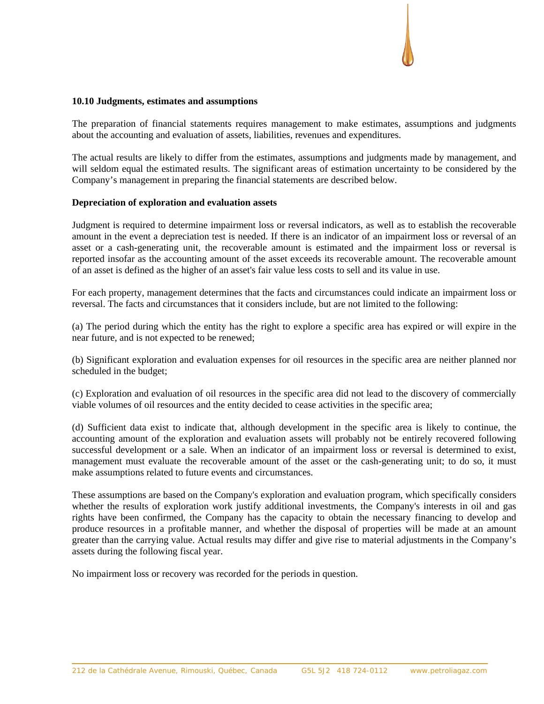#### **10.10 Judgments, estimates and assumptions**

The preparation of financial statements requires management to make estimates, assumptions and judgments about the accounting and evaluation of assets, liabilities, revenues and expenditures.

The actual results are likely to differ from the estimates, assumptions and judgments made by management, and will seldom equal the estimated results. The significant areas of estimation uncertainty to be considered by the Company's management in preparing the financial statements are described below.

### **Depreciation of exploration and evaluation assets**

Judgment is required to determine impairment loss or reversal indicators, as well as to establish the recoverable amount in the event a depreciation test is needed. If there is an indicator of an impairment loss or reversal of an asset or a cash-generating unit, the recoverable amount is estimated and the impairment loss or reversal is reported insofar as the accounting amount of the asset exceeds its recoverable amount. The recoverable amount of an asset is defined as the higher of an asset's fair value less costs to sell and its value in use.

For each property, management determines that the facts and circumstances could indicate an impairment loss or reversal. The facts and circumstances that it considers include, but are not limited to the following:

(a) The period during which the entity has the right to explore a specific area has expired or will expire in the near future, and is not expected to be renewed;

(b) Significant exploration and evaluation expenses for oil resources in the specific area are neither planned nor scheduled in the budget;

(c) Exploration and evaluation of oil resources in the specific area did not lead to the discovery of commercially viable volumes of oil resources and the entity decided to cease activities in the specific area;

(d) Sufficient data exist to indicate that, although development in the specific area is likely to continue, the accounting amount of the exploration and evaluation assets will probably not be entirely recovered following successful development or a sale. When an indicator of an impairment loss or reversal is determined to exist, management must evaluate the recoverable amount of the asset or the cash-generating unit; to do so, it must make assumptions related to future events and circumstances.

These assumptions are based on the Company's exploration and evaluation program, which specifically considers whether the results of exploration work justify additional investments, the Company's interests in oil and gas rights have been confirmed, the Company has the capacity to obtain the necessary financing to develop and produce resources in a profitable manner, and whether the disposal of properties will be made at an amount greater than the carrying value. Actual results may differ and give rise to material adjustments in the Company's assets during the following fiscal year.

No impairment loss or recovery was recorded for the periods in question.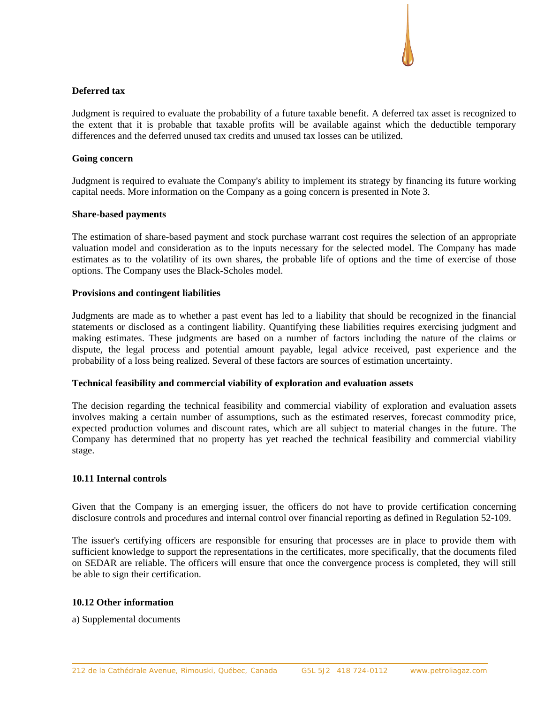# **Deferred tax**

Judgment is required to evaluate the probability of a future taxable benefit. A deferred tax asset is recognized to the extent that it is probable that taxable profits will be available against which the deductible temporary differences and the deferred unused tax credits and unused tax losses can be utilized.

### **Going concern**

Judgment is required to evaluate the Company's ability to implement its strategy by financing its future working capital needs. More information on the Company as a going concern is presented in Note 3.

### **Share-based payments**

The estimation of share-based payment and stock purchase warrant cost requires the selection of an appropriate valuation model and consideration as to the inputs necessary for the selected model. The Company has made estimates as to the volatility of its own shares, the probable life of options and the time of exercise of those options. The Company uses the Black-Scholes model.

# **Provisions and contingent liabilities**

Judgments are made as to whether a past event has led to a liability that should be recognized in the financial statements or disclosed as a contingent liability. Quantifying these liabilities requires exercising judgment and making estimates. These judgments are based on a number of factors including the nature of the claims or dispute, the legal process and potential amount payable, legal advice received, past experience and the probability of a loss being realized. Several of these factors are sources of estimation uncertainty.

### **Technical feasibility and commercial viability of exploration and evaluation assets**

The decision regarding the technical feasibility and commercial viability of exploration and evaluation assets involves making a certain number of assumptions, such as the estimated reserves, forecast commodity price, expected production volumes and discount rates, which are all subject to material changes in the future. The Company has determined that no property has yet reached the technical feasibility and commercial viability stage.

# **10.11 Internal controls**

Given that the Company is an emerging issuer, the officers do not have to provide certification concerning disclosure controls and procedures and internal control over financial reporting as defined in Regulation 52-109.

The issuer's certifying officers are responsible for ensuring that processes are in place to provide them with sufficient knowledge to support the representations in the certificates, more specifically, that the documents filed on SEDAR are reliable. The officers will ensure that once the convergence process is completed, they will still be able to sign their certification.

### **10.12 Other information**

a) Supplemental documents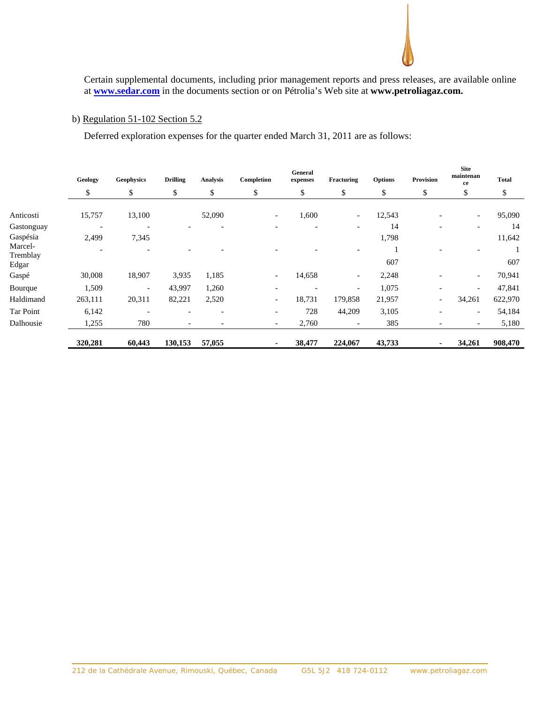Certain supplemental documents, including prior management reports and press releases, are available online at **www.sedar.com** in the documents section or on Pétrolia's Web site at **www.petroliagaz.com.**

# b) Regulation 51-102 Section 5.2

Deferred exploration expenses for the quarter ended March 31, 2011 are as follows:

|                                 | Geology | <b>Geophysics</b>        | <b>Drilling</b>          | Analysis                 | Completion               | General<br>expenses      | Fracturing                   | <b>Options</b> | Provision                | <b>Site</b><br>maintenan<br>ce | <b>Total</b> |
|---------------------------------|---------|--------------------------|--------------------------|--------------------------|--------------------------|--------------------------|------------------------------|----------------|--------------------------|--------------------------------|--------------|
|                                 | \$      | \$                       | \$                       | \$                       | \$                       | \$                       | \$                           | \$             | \$                       | Φ                              | \$           |
| Anticosti                       | 15,757  | 13,100                   |                          | 52,090                   | $\overline{\phantom{a}}$ | 1,600                    | $\overline{\phantom{a}}$     | 12,543         | $\overline{\phantom{a}}$ | $\overline{\phantom{0}}$       | 95,090       |
| Gastonguay                      |         | $\overline{\phantom{0}}$ |                          |                          |                          |                          | $\overline{\phantom{0}}$     | 14             |                          |                                | 14           |
| Gaspésia<br>Marcel-<br>Tremblay | 2,499   | 7,345                    |                          |                          |                          |                          | $\qquad \qquad \blacksquare$ | 1,798          |                          | $\overline{\phantom{a}}$       | 11,642       |
| Edgar                           |         |                          |                          |                          |                          |                          |                              | 607            |                          |                                | 607          |
| Gaspé                           | 30,008  | 18,907                   | 3,935                    | 1,185                    | $\overline{\phantom{a}}$ | 14,658                   | $\overline{\phantom{a}}$     | 2,248          | $\overline{\phantom{a}}$ | $\overline{\phantom{0}}$       | 70,941       |
| Bourque                         | 1,509   | $\overline{\phantom{a}}$ | 43,997                   | 1,260                    |                          | $\overline{\phantom{a}}$ | $\overline{\phantom{a}}$     | 1,075          | ۳                        | $\overline{\phantom{a}}$       | 47,841       |
| Haldimand                       | 263,111 | 20,311                   | 82,221                   | 2,520                    | $\overline{\phantom{a}}$ | 18,731                   | 179,858                      | 21,957         | $\overline{\phantom{a}}$ | 34,261                         | 622,970      |
| Tar Point                       | 6,142   | $\overline{\phantom{a}}$ | $\overline{\phantom{0}}$ | $\overline{\phantom{a}}$ | $\overline{\phantom{a}}$ | 728                      | 44,209                       | 3,105          | $\overline{\phantom{a}}$ | $\overline{\phantom{0}}$       | 54,184       |
| Dalhousie                       | 1,255   | 780                      | $\overline{\phantom{0}}$ |                          | $\overline{\phantom{a}}$ | 2,760                    | $\qquad \qquad$              | 385            | $\overline{a}$           | $\overline{\phantom{0}}$       | 5,180        |
|                                 | 320,281 | 60,443                   | 130,153                  | 57,055                   |                          | 38,477                   | 224,067                      | 43,733         |                          | 34,261                         | 908,470      |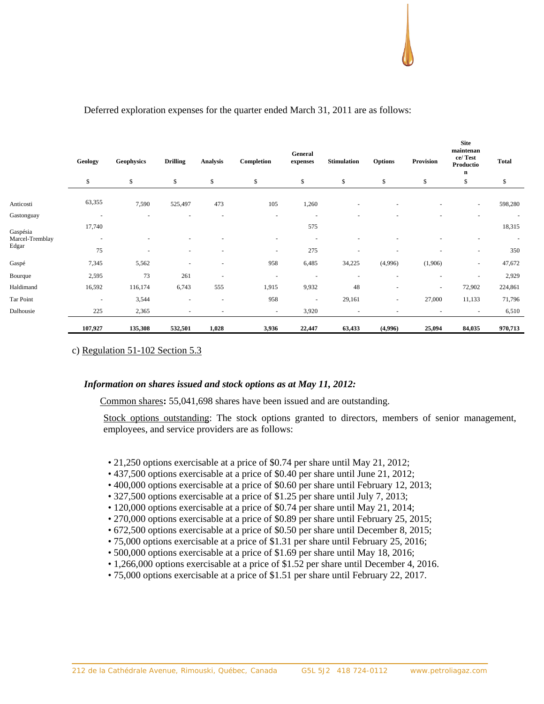**Site** 

|                 | Geology                  | <b>Geophysics</b> | <b>Drilling</b>          | <b>Analysis</b>          | Completion               | General<br>expenses      | <b>Stimulation</b>       | <b>Options</b>           | Provision | $\mathbf{u}$<br>maintenan<br>ce/Test<br>Productio<br>n | <b>Total</b> |
|-----------------|--------------------------|-------------------|--------------------------|--------------------------|--------------------------|--------------------------|--------------------------|--------------------------|-----------|--------------------------------------------------------|--------------|
|                 | \$                       | \$                | \$                       | \$                       | \$                       | \$                       | \$                       | \$                       | \$        | \$                                                     | \$           |
| Anticosti       | 63,355                   | 7,590             | 525,497                  | 473                      | 105                      | 1,260                    | ٠                        |                          |           | $\sim$                                                 | 598,280      |
| Gastonguay      |                          |                   |                          |                          | $\overline{\phantom{a}}$ |                          |                          |                          |           |                                                        |              |
| Gaspésia        | 17,740                   |                   |                          |                          |                          | 575                      |                          |                          |           |                                                        | 18,315       |
| Marcel-Tremblay | $\overline{\phantom{a}}$ |                   |                          |                          | $\overline{\phantom{a}}$ |                          |                          |                          |           |                                                        |              |
| Edgar           | 75                       |                   | ٠                        | $\overline{\phantom{a}}$ | $\overline{\phantom{a}}$ | 275                      | ٠                        |                          |           | $\sim$                                                 | 350          |
| Gaspé           | 7,345                    | 5,562             |                          | ٠                        | 958                      | 6,485                    | 34,225                   | (4,996)                  | (1,906)   | $\sim$                                                 | 47,672       |
| Bourque         | 2,595                    | 73                | 261                      | $\overline{\phantom{a}}$ |                          |                          | $\overline{\phantom{a}}$ |                          | ٠         | $\sim$                                                 | 2,929        |
| Haldimand       | 16,592                   | 116,174           | 6,743                    | 555                      | 1,915                    | 9,932                    | 48                       | $\overline{\phantom{a}}$ | $\sim$    | 72,902                                                 | 224,861      |
| Tar Point       | $\overline{\phantom{a}}$ | 3,544             | $\overline{\phantom{a}}$ | $\sim$                   | 958                      | $\overline{\phantom{a}}$ | 29,161                   | ٠                        | 27,000    | 11,133                                                 | 71,796       |
| Dalhousie       | 225                      | 2,365             |                          |                          | $\overline{\phantom{a}}$ | 3,920                    | ٠                        |                          |           |                                                        | 6,510        |
|                 | 107,927                  | 135,308           | 532,501                  | 1,028                    | 3,936                    | 22,447                   | 63,433                   | (4,996)                  | 25,094    | 84,035                                                 | 970,713      |

# Deferred exploration expenses for the quarter ended March 31, 2011 are as follows:

c) Regulation 51-102 Section 5.3

### *Information on shares issued and stock options as at May 11, 2012:*

Common shares**:** 55,041,698 shares have been issued and are outstanding.

Stock options outstanding: The stock options granted to directors, members of senior management, employees, and service providers are as follows:

- 21,250 options exercisable at a price of \$0.74 per share until May 21, 2012;
- 437,500 options exercisable at a price of \$0.40 per share until June 21, 2012;
- 400,000 options exercisable at a price of \$0.60 per share until February 12, 2013;
- 327,500 options exercisable at a price of \$1.25 per share until July 7, 2013;
- 120,000 options exercisable at a price of \$0.74 per share until May 21, 2014;
- 270,000 options exercisable at a price of \$0.89 per share until February 25, 2015;
- 672,500 options exercisable at a price of \$0.50 per share until December 8, 2015;
- 75,000 options exercisable at a price of \$1.31 per share until February 25, 2016;
- 500,000 options exercisable at a price of \$1.69 per share until May 18, 2016;
- 1,266,000 options exercisable at a price of \$1.52 per share until December 4, 2016.
- 75,000 options exercisable at a price of \$1.51 per share until February 22, 2017.